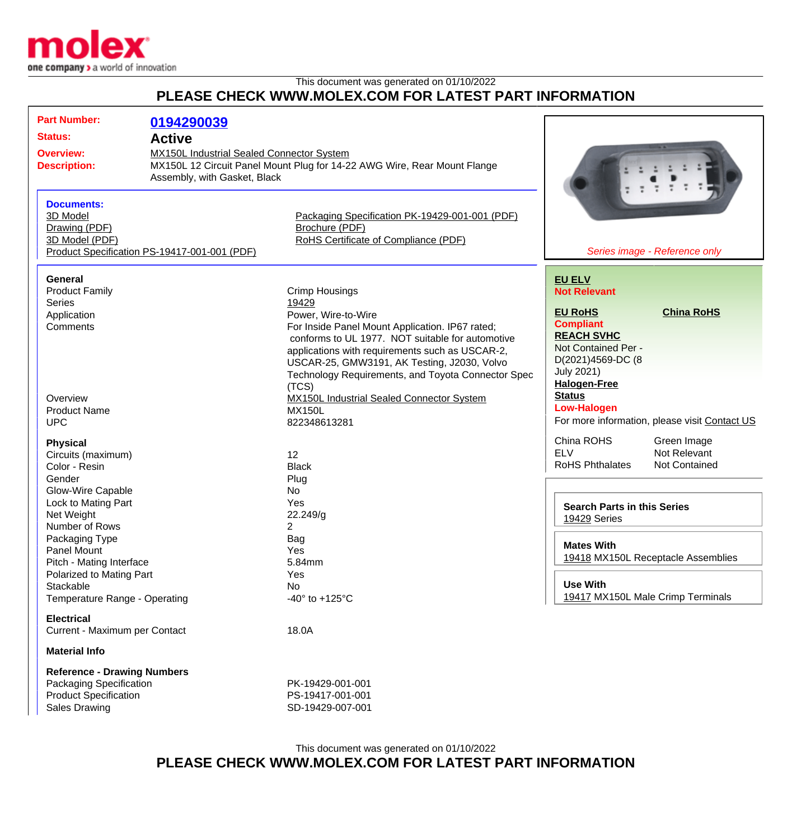

This document was generated on 01/10/2022 **PLEASE CHECK WWW.MOLEX.COM FOR LATEST PART INFORMATION**

| <b>Part Number:</b><br><b>Status:</b>                                                                                 | 0194290039<br><b>Active</b>                                                                                                                                  |                                                                                                                                                                                                                                                                                 |                                                                                                                                                  |                                                                              |
|-----------------------------------------------------------------------------------------------------------------------|--------------------------------------------------------------------------------------------------------------------------------------------------------------|---------------------------------------------------------------------------------------------------------------------------------------------------------------------------------------------------------------------------------------------------------------------------------|--------------------------------------------------------------------------------------------------------------------------------------------------|------------------------------------------------------------------------------|
| <b>Overview:</b><br><b>Description:</b>                                                                               | <b>MX150L Industrial Sealed Connector System</b><br>MX150L 12 Circuit Panel Mount Plug for 14-22 AWG Wire, Rear Mount Flange<br>Assembly, with Gasket, Black |                                                                                                                                                                                                                                                                                 |                                                                                                                                                  |                                                                              |
| <b>Documents:</b><br>3D Model<br>Drawing (PDF)<br>3D Model (PDF)                                                      | Product Specification PS-19417-001-001 (PDF)                                                                                                                 | Packaging Specification PK-19429-001-001 (PDF)<br>Brochure (PDF)<br>RoHS Certificate of Compliance (PDF)                                                                                                                                                                        |                                                                                                                                                  | Series image - Reference only                                                |
| <b>General</b><br><b>Product Family</b><br><b>Series</b><br>Application<br>Comments                                   |                                                                                                                                                              | <b>Crimp Housings</b><br>19429<br>Power, Wire-to-Wire<br>For Inside Panel Mount Application. IP67 rated;                                                                                                                                                                        | <b>EU ELV</b><br><b>Not Relevant</b><br><b>EU RoHS</b><br><b>Compliant</b>                                                                       | <b>China RoHS</b>                                                            |
| Overview                                                                                                              |                                                                                                                                                              | conforms to UL 1977. NOT suitable for automotive<br>applications with requirements such as USCAR-2,<br>USCAR-25, GMW3191, AK Testing, J2030, Volvo<br>Technology Requirements, and Toyota Connector Spec<br>(TCS)<br>MX150L Industrial Sealed Connector System<br><b>MX150L</b> | <b>REACH SVHC</b><br>Not Contained Per -<br>D(2021)4569-DC (8<br><b>July 2021)</b><br><b>Halogen-Free</b><br><b>Status</b><br><b>Low-Halogen</b> |                                                                              |
| <b>Product Name</b><br><b>UPC</b><br><b>Physical</b><br>Circuits (maximum)                                            |                                                                                                                                                              | 822348613281<br>12                                                                                                                                                                                                                                                              | China ROHS<br><b>ELV</b>                                                                                                                         | For more information, please visit Contact US<br>Green Image<br>Not Relevant |
| Color - Resin<br>Gender<br><b>Glow-Wire Capable</b><br>Lock to Mating Part<br>Net Weight<br>Number of Rows            |                                                                                                                                                              | <b>Black</b><br>Plug<br>No<br>Yes<br>22.249/g<br>2                                                                                                                                                                                                                              | <b>RoHS Phthalates</b><br><b>Search Parts in this Series</b><br>19429 Series                                                                     | Not Contained                                                                |
| Packaging Type<br>Panel Mount<br>Pitch - Mating Interface<br>Polarized to Mating Part<br>Stackable                    |                                                                                                                                                              | Bag<br>Yes<br>5.84mm<br>Yes<br>No                                                                                                                                                                                                                                               | <b>Mates With</b><br><b>Use With</b>                                                                                                             | 19418 MX150L Receptacle Assemblies                                           |
| Temperature Range - Operating<br><b>Electrical</b><br>Current - Maximum per Contact                                   |                                                                                                                                                              | -40 $\degree$ to +125 $\degree$ C<br>18.0A                                                                                                                                                                                                                                      |                                                                                                                                                  | 19417 MX150L Male Crimp Terminals                                            |
| <b>Material Info</b>                                                                                                  |                                                                                                                                                              |                                                                                                                                                                                                                                                                                 |                                                                                                                                                  |                                                                              |
| <b>Reference - Drawing Numbers</b><br>Packaging Specification<br><b>Product Specification</b><br><b>Sales Drawing</b> |                                                                                                                                                              | PK-19429-001-001<br>PS-19417-001-001<br>SD-19429-007-001                                                                                                                                                                                                                        |                                                                                                                                                  |                                                                              |

This document was generated on 01/10/2022 **PLEASE CHECK WWW.MOLEX.COM FOR LATEST PART INFORMATION**